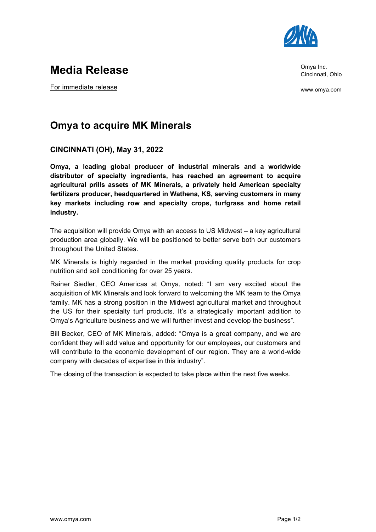

Omya Inc. Cincinnati, Ohio

www.omya.com

# **Media Release**

For immediate release

## **Omya to acquire MK Minerals**

### **CINCINNATI (OH), May 31, 2022**

**Omya, a leading global producer of industrial minerals and a worldwide distributor of specialty ingredients, has reached an agreement to acquire agricultural prills assets of MK Minerals, a privately held American specialty fertilizers producer, headquartered in Wathena, KS, serving customers in many key markets including row and specialty crops, turfgrass and home retail industry.**

The acquisition will provide Omya with an access to US Midwest – a key agricultural production area globally. We will be positioned to better serve both our customers throughout the United States.

MK Minerals is highly regarded in the market providing quality products for crop nutrition and soil conditioning for over 25 years.

Rainer Siedler, CEO Americas at Omya, noted: "I am very excited about the acquisition of MK Minerals and look forward to welcoming the MK team to the Omya family. MK has a strong position in the Midwest agricultural market and throughout the US for their specialty turf products. It's a strategically important addition to Omya's Agriculture business and we will further invest and develop the business".

Bill Becker, CEO of MK Minerals, added: "Omya is a great company, and we are confident they will add value and opportunity for our employees, our customers and will contribute to the economic development of our region. They are a world-wide company with decades of expertise in this industry".

The closing of the transaction is expected to take place within the next five weeks.